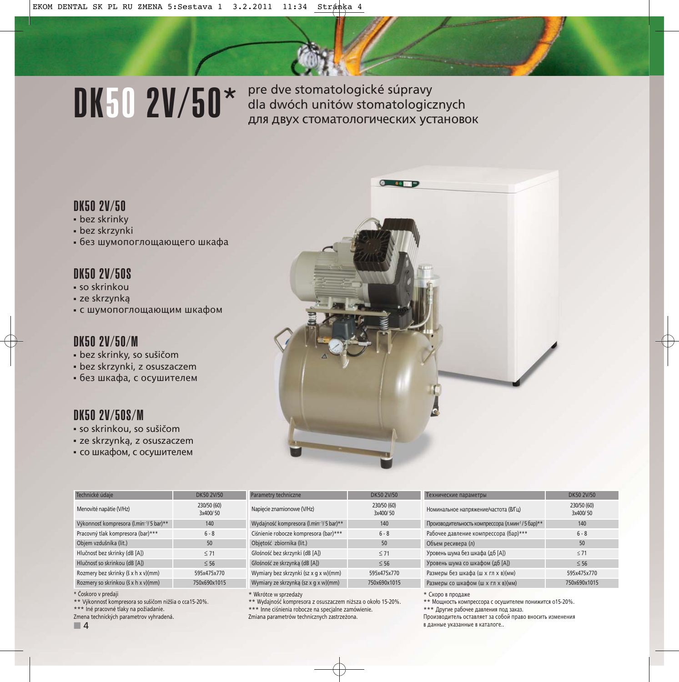$\text{DK}$ 50  $2$ V/50 $*$  pre dve stomatologické súpravy<br>  $\frac{1}{2}$ dla dwóch unitów stomatologicznych для двух стоматологических установок

# DK50 2V/50

- bez skrinky
- bez skrzynki
- без шумопоглощающего шкафа

### DK50 2V/50S

- so skrinkou
- ze skrzynką
- с шумопоглощающим шкафом

### DK50 2V/50/M

- bez skrinky, so sušičom
- bez skrzynki, z osuszaczem
- без шкафа, с осушителем

# DK50 2V/50S/M

- so skrinkou, so sušičom
- ze skrzynką, z osuszaczem
- со шкафом, с осушителем

| Technické údaje                        | DK50 2V/50              |
|----------------------------------------|-------------------------|
| Menovité napätie (V/Hz)                | 230/50 (60)<br>3x400/50 |
| Výkonnosť kompresora (l.min-1/5 bar)** | 140                     |
| Pracovný tlak kompresora (bar)***      | $6 - 8$                 |
| Objem vzdušníka (lit.)                 | 50                      |
| Hlučnosť bez skrinky (dB [A])          | < 71                    |
| Hlučnosť so skrinkou (dB [A])          | < 56                    |
| Rozmery bez skrinky (š x h x v)(mm)    | 595x475x770             |
| Rozmery so skrinkou (š x h x v)(mm)    | 750x690x1015            |
|                                        |                         |

\* Čoskoro v predaji

\*\* Výkonnosť kompresora so sušičom nižšia o cca15-20%. \*\*\* Iné pracovné tlaky na požiadanie.

Zmena technických parametrov vyhradená.



| Parametry techniczne                   | DK50 2V/50              |
|----------------------------------------|-------------------------|
| Napiecie znamionowe (V/Hz)             | 230/50 (60)<br>3x400/50 |
| Wydajność kompresora (I.min-1/5 bar)** | 140                     |
| Ciśnienie robocze kompresora (bar)***  | $6 - 8$                 |
| Objetość zbiornika (lit.)              | 50                      |
| Głośność bez skrzynki (dB [A])         | < 71                    |
| Głośność ze skrzynka (dB [A])          | $\leq 56$               |
| Wymiary bez skrzynki (sz x g x w)(mm)  | 595x475x770             |
| Wymiary ze skrzynką (sz x g x w)(mm)   | 750x690x1015            |
| $k$ Wkrótco w cprzodn $\dot{a}$        |                         |

\* Wkrótce w sprzedaży

\*\* Wydajność kompresora z osuszaczem niższa o około 15-20%

\*\*\* Inne ciśnienia robocze na specjalne zamówienie.

Zmiana parametrów technicznych zastrzeżona.

| Технические параметры                            | DK50 2V/50              |
|--------------------------------------------------|-------------------------|
| Номинальное напряжение/частота (В/Гц)            | 230/50 (60)<br>3x400/50 |
| Производительность компрессора (л.мин-1/5 бар)** | 140                     |
| Рабочее давление компрессора (бар)***            | $6 - 8$                 |
| Объем ресивера (л)                               | 50                      |
| Уровень шума без шкафа (дб [А])                  | < 71                    |
| Уровень шума со шкафом (дб [А])                  | < 56                    |
| Размеры без шкафа (ш х гл х в)(мм)               | 595x475x770             |
| Размеры со шкафом (ш х гл х в)(мм)               | 750x690x1015            |
|                                                  |                         |

\* Скоро в продаже

\*\* Mощность компрессора c осушителем понижится o15-20%.

\*\*\* Другие рабочее давления под заказ.

Производитель оставляет за собой право вносить изменения в данные указанные в каталоге..